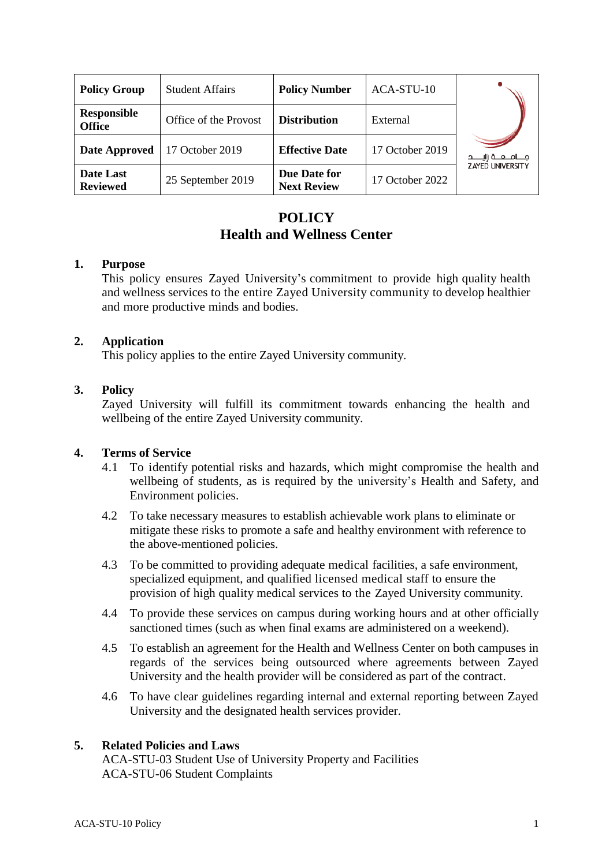| <b>Policy Group</b>                 | <b>Student Affairs</b> | <b>Policy Number</b>               | ACA-STU-10      |                           |
|-------------------------------------|------------------------|------------------------------------|-----------------|---------------------------|
| <b>Responsible</b><br><b>Office</b> | Office of the Provost  | <b>Distribution</b>                | External        |                           |
| Date Approved                       | 17 October 2019        | <b>Effective Date</b>              | 17 October 2019 | مــــامــــــه زايــــــد |
| Date Last<br><b>Reviewed</b>        | 25 September 2019      | Due Date for<br><b>Next Review</b> | 17 October 2022 | <b>ZAYED UNIVERSITY</b>   |

# **POLICY Health and Wellness Center**

#### **1. Purpose**

This policy ensures Zayed University's commitment to provide high quality health and wellness services to the entire Zayed University community to develop healthier and more productive minds and bodies.

## **2. Application**

This policy applies to the entire Zayed University community.

## **3. Policy**

Zayed University will fulfill its commitment towards enhancing the health and wellbeing of the entire Zayed University community.

#### **4. Terms of Service**

- 4.1 To identify potential risks and hazards, which might compromise the health and wellbeing of students, as is required by the university's Health and Safety, and Environment policies.
- 4.2 To take necessary measures to establish achievable work plans to eliminate or mitigate these risks to promote a safe and healthy environment with reference to the above-mentioned policies.
- 4.3 To be committed to providing adequate medical facilities, a safe environment, specialized equipment, and qualified licensed medical staff to ensure the provision of high quality medical services to the Zayed University community.
- 4.4 To provide these services on campus during working hours and at other officially sanctioned times (such as when final exams are administered on a weekend).
- 4.5 To establish an agreement for the Health and Wellness Center on both campuses in regards of the services being outsourced where agreements between Zayed University and the health provider will be considered as part of the contract.
- 4.6 To have clear guidelines regarding internal and external reporting between Zayed University and the designated health services provider.

#### **5. Related Policies and Laws**

ACA-STU-03 Student Use of University Property and Facilities ACA-STU-06 Student Complaints